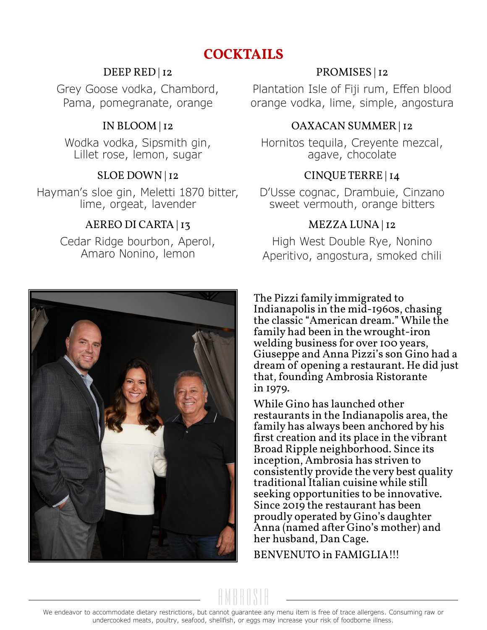# **COCKTAILS**

#### DEEP RED | 12

Grey Goose vodka, Chambord, Pama, pomegranate, orange

# IN BLOOM | 12

Wodka vodka, Sipsmith gin, Lillet rose, lemon, sugar

#### SLOE DOWN | 12

Hayman's sloe gin, Meletti 1870 bitter, lime, orgeat, lavender

# AEREO DI CARTA | 13

Cedar Ridge bourbon, Aperol, Amaro Nonino, lemon

# PROMISES | 12

Plantation Isle of Fiji rum, Effen blood orange vodka, lime, simple, angostura

#### OAXACAN SUMMER | 12

Hornitos tequila, Creyente mezcal, agave, chocolate

# CINQUE TERRE | 14

D'Usse cognac, Drambuie, Cinzano sweet vermouth, orange bitters

# MEZZA LUNA | 12

High West Double Rye, Nonino Aperitivo, angostura, smoked chili

The Pizzi family immigrated to Indianapolis in the mid-1960s, chasing the classic "American dream." While the family had been in the wrought-iron welding business for over 100 years, Giuseppe and Anna Pizzi's son Gino had a dream of opening a restaurant. He did just that, founding Ambrosia Ristorante in 1979.

While Gino has launched other restaurants in the Indianapolis area, the family has always been anchored by his first creation and its place in the vibrant Broad Ripple neighborhood. Since its inception, Ambrosia has striven to consistently provide the very best quality traditional Italian cuisine while still seeking opportunities to be innovative. Since 2019 the restaurant has been proudly operated by Gino's daughter Anna (named after Gino's mother) and her husband, Dan Cage.

BENVENUTO in FAMIGLIA!!!

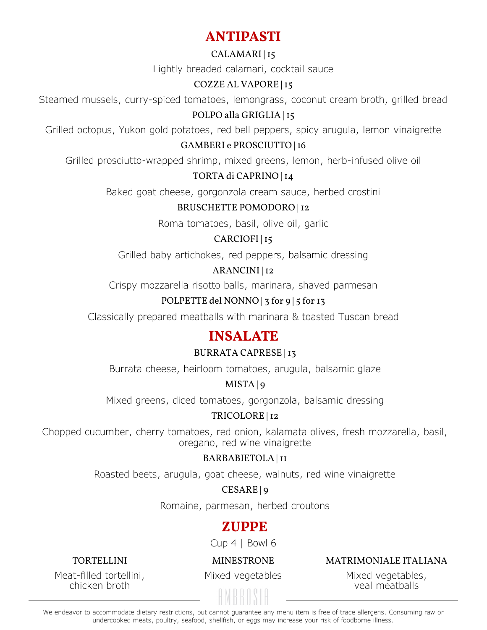# **ANTIPASTI**

#### CALAMARI | 15

Lightly breaded calamari, cocktail sauce

#### COZZE AL VAPORE | 15

Steamed mussels, curry-spiced tomatoes, lemongrass, coconut cream broth, grilled bread

#### POLPO alla GRIGLIA | 15

Grilled octopus, Yukon gold potatoes, red bell peppers, spicy arugula, lemon vinaigrette

#### GAMBERI e PROSCIUTTO | 16

Grilled prosciutto-wrapped shrimp, mixed greens, lemon, herb-infused olive oil

#### TORTA di CAPRINO | 14

Baked goat cheese, gorgonzola cream sauce, herbed crostini

#### BRUSCHETTE POMODORO | 12

Roma tomatoes, basil, olive oil, garlic

# CARCIOFI | 15

Grilled baby artichokes, red peppers, balsamic dressing

#### ARANCINI | 12

Crispy mozzarella risotto balls, marinara, shaved parmesan

#### POLPETTE del NONNO | 3 for 9 | 5 for 13

Classically prepared meatballs with marinara & toasted Tuscan bread

# **INSALATE**

#### BURRATA CAPRESE | 13

Burrata cheese, heirloom tomatoes, arugula, balsamic glaze

#### MISTA | 9

Mixed greens, diced tomatoes, gorgonzola, balsamic dressing

#### TRICOLORE | 12

Chopped cucumber, cherry tomatoes, red onion, kalamata olives, fresh mozzarella, basil, oregano, red wine vinaigrette

#### BARBABIETOLA | 11

Roasted beets, arugula, goat cheese, walnuts, red wine vinaigrette

#### CESARE | 9

Romaine, parmesan, herbed croutons

# **ZUPPE**

Cup 4 | Bowl 6

#### TORTELLINI

MINESTRONE

#### MATRIMONIALE ITALIANA

Meat-filled tortellini, chicken broth

Mixed vegetables

Mixed vegetables, veal meatballs

We endeavor to accommodate dietary restrictions, but cannot guarantee any menu item is free of trace allergens. Consuming raw or undercooked meats, poultry, seafood, shellfish, or eggs may increase your risk of foodborne illness.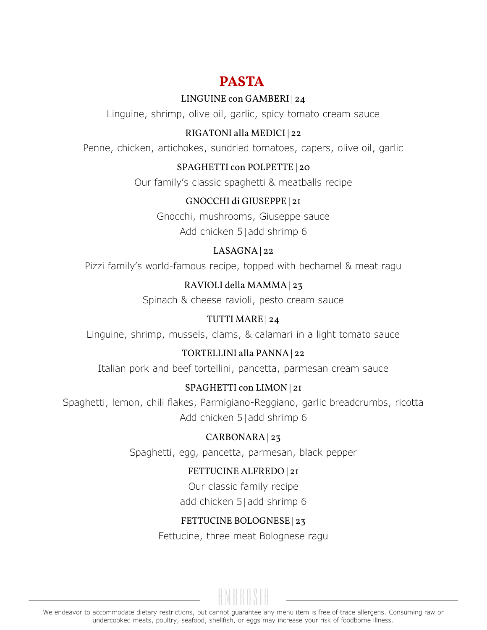# **PASTA**

#### LINGUINE con GAMBERI | 24

Linguine, shrimp, olive oil, garlic, spicy tomato cream sauce

# RIGATONI alla MEDICI | 22

Penne, chicken, artichokes, sundried tomatoes, capers, olive oil, garlic

#### SPAGHETTI con POLPETTE | 20

Our family's classic spaghetti & meatballs recipe

#### GNOCCHI di GIUSEPPE | 21

Gnocchi, mushrooms, Giuseppe sauce Add chicken 5 | add shrimp 6

#### LASAGNA | 22

Pizzi family's world-famous recipe, topped with bechamel & meat ragu

# RAVIOLI della MAMMA | 23

Spinach & cheese ravioli, pesto cream sauce

# TUTTI MARE | 24

Linguine, shrimp, mussels, clams, & calamari in a light tomato sauce

# TORTELLINI alla PANNA | 22

Italian pork and beef tortellini, pancetta, parmesan cream sauce

# SPAGHETTI con LIMON | 21

Spaghetti, lemon, chili flakes, Parmigiano-Reggiano, garlic breadcrumbs, ricotta Add chicken 5 | add shrimp 6

# CARBONARA | 23

Spaghetti, egg, pancetta, parmesan, black pepper

# FETTUCINE ALFREDO | 21

Our classic family recipe add chicken 5 | add shrimp 6

# FETTUCINE BOLOGNESE | 23

Fettucine, three meat Bolognese ragu